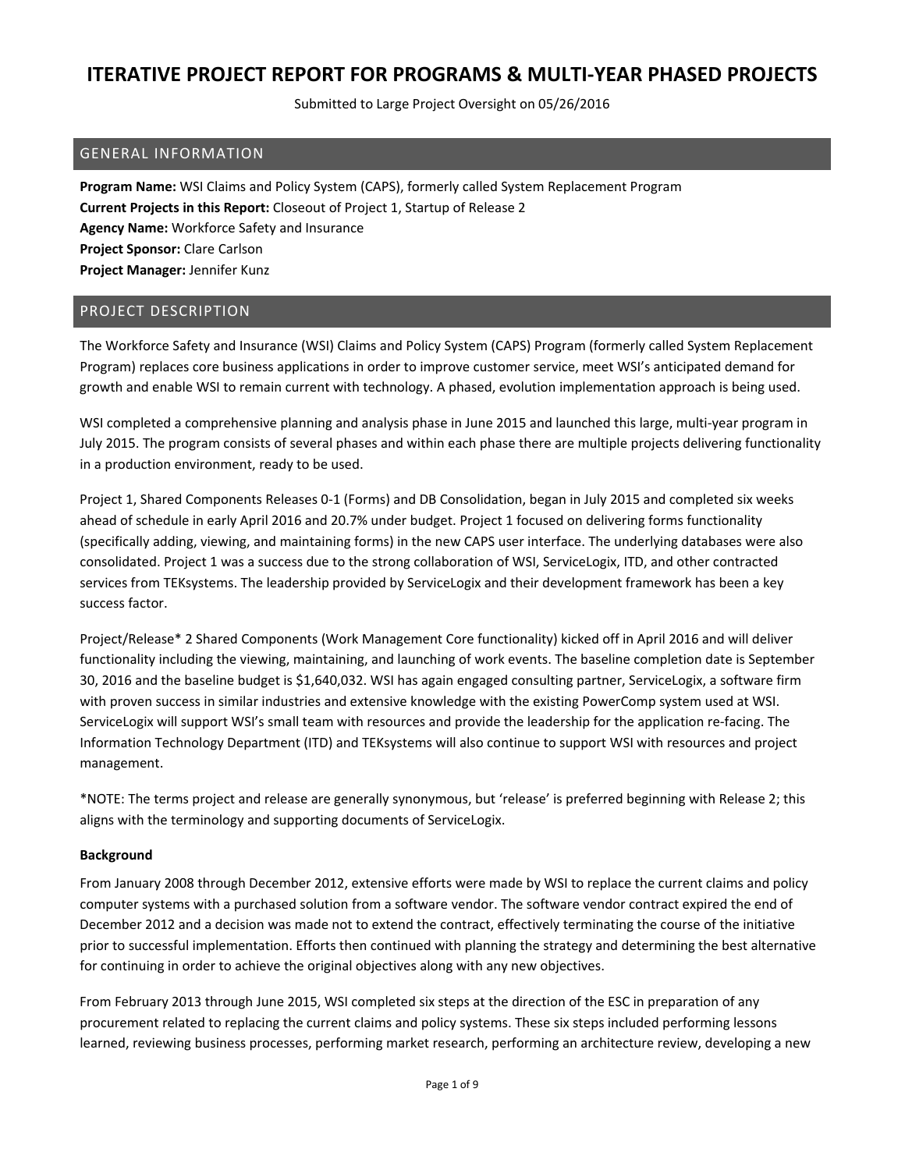Submitted to Large Project Oversight on 05/26/2016

### GENERAL INFORMATION

**Program Name:** WSI Claims and Policy System (CAPS), formerly called System Replacement Program **Current Projects in this Report:** Closeout of Project 1, Startup of Release 2 **Agency Name:** Workforce Safety and Insurance **Project Sponsor:** Clare Carlson **Project Manager:** Jennifer Kunz

### PROJECT DESCRIPTION

The Workforce Safety and Insurance (WSI) Claims and Policy System (CAPS) Program (formerly called System Replacement Program) replaces core business applications in order to improve customer service, meet WSI's anticipated demand for growth and enable WSI to remain current with technology. A phased, evolution implementation approach is being used.

WSI completed a comprehensive planning and analysis phase in June 2015 and launched this large, multi‐year program in July 2015. The program consists of several phases and within each phase there are multiple projects delivering functionality in a production environment, ready to be used.

Project 1, Shared Components Releases 0‐1 (Forms) and DB Consolidation, began in July 2015 and completed six weeks ahead of schedule in early April 2016 and 20.7% under budget. Project 1 focused on delivering forms functionality (specifically adding, viewing, and maintaining forms) in the new CAPS user interface. The underlying databases were also consolidated. Project 1 was a success due to the strong collaboration of WSI, ServiceLogix, ITD, and other contracted services from TEKsystems. The leadership provided by ServiceLogix and their development framework has been a key success factor.

Project/Release\* 2 Shared Components (Work Management Core functionality) kicked off in April 2016 and will deliver functionality including the viewing, maintaining, and launching of work events. The baseline completion date is September 30, 2016 and the baseline budget is \$1,640,032. WSI has again engaged consulting partner, ServiceLogix, a software firm with proven success in similar industries and extensive knowledge with the existing PowerComp system used at WSI. ServiceLogix will support WSI's small team with resources and provide the leadership for the application re‐facing. The Information Technology Department (ITD) and TEKsystems will also continue to support WSI with resources and project management.

\*NOTE: The terms project and release are generally synonymous, but 'release' is preferred beginning with Release 2; this aligns with the terminology and supporting documents of ServiceLogix.

#### **Background**

From January 2008 through December 2012, extensive efforts were made by WSI to replace the current claims and policy computer systems with a purchased solution from a software vendor. The software vendor contract expired the end of December 2012 and a decision was made not to extend the contract, effectively terminating the course of the initiative prior to successful implementation. Efforts then continued with planning the strategy and determining the best alternative for continuing in order to achieve the original objectives along with any new objectives.

From February 2013 through June 2015, WSI completed six steps at the direction of the ESC in preparation of any procurement related to replacing the current claims and policy systems. These six steps included performing lessons learned, reviewing business processes, performing market research, performing an architecture review, developing a new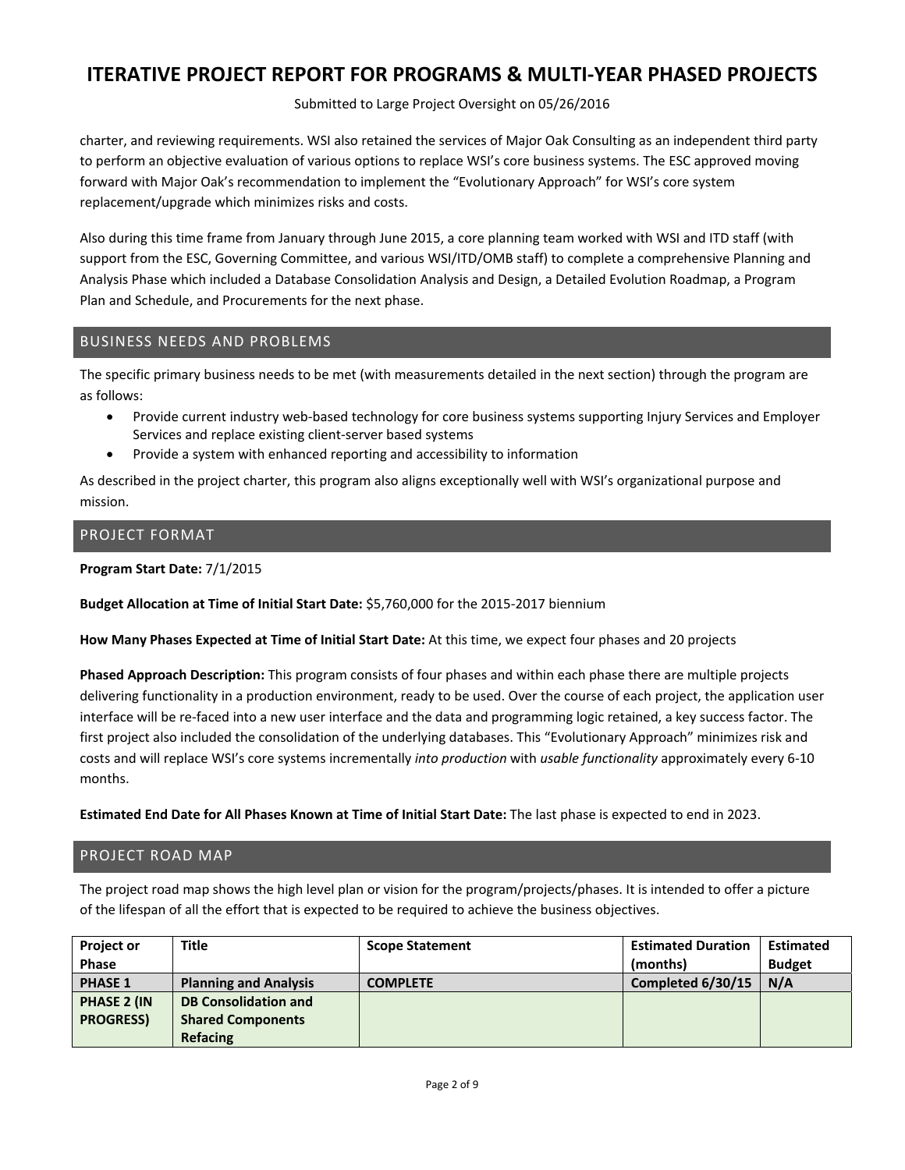Submitted to Large Project Oversight on 05/26/2016

charter, and reviewing requirements. WSI also retained the services of Major Oak Consulting as an independent third party to perform an objective evaluation of various options to replace WSI's core business systems. The ESC approved moving forward with Major Oak's recommendation to implement the "Evolutionary Approach" for WSI's core system replacement/upgrade which minimizes risks and costs.

Also during this time frame from January through June 2015, a core planning team worked with WSI and ITD staff (with support from the ESC, Governing Committee, and various WSI/ITD/OMB staff) to complete a comprehensive Planning and Analysis Phase which included a Database Consolidation Analysis and Design, a Detailed Evolution Roadmap, a Program Plan and Schedule, and Procurements for the next phase.

## BUSINESS NEEDS AND PROBLEMS

The specific primary business needs to be met (with measurements detailed in the next section) through the program are as follows:

- Provide current industry web-based technology for core business systems supporting Injury Services and Employer Services and replace existing client‐server based systems
- Provide a system with enhanced reporting and accessibility to information

As described in the project charter, this program also aligns exceptionally well with WSI's organizational purpose and mission.

## PROJECT FORMAT

**Program Start Date:** 7/1/2015

**Budget Allocation at Time of Initial Start Date:** \$5,760,000 for the 2015‐2017 biennium

**How Many Phases Expected at Time of Initial Start Date:** At this time, we expect four phases and 20 projects

**Phased Approach Description:** This program consists of four phases and within each phase there are multiple projects delivering functionality in a production environment, ready to be used. Over the course of each project, the application user interface will be re‐faced into a new user interface and the data and programming logic retained, a key success factor. The first project also included the consolidation of the underlying databases. This "Evolutionary Approach" minimizes risk and costs and will replace WSI's core systems incrementally *into production* with *usable functionality* approximately every 6‐10 months.

**Estimated End Date for All Phases Known at Time of Initial Start Date:** The last phase is expected to end in 2023.

### PROJECT ROAD MAP

The project road map shows the high level plan or vision for the program/projects/phases. It is intended to offer a picture of the lifespan of all the effort that is expected to be required to achieve the business objectives.

| <b>Project or</b>  | Title                        | <b>Scope Statement</b> | <b>Estimated Duration</b> | <b>Estimated</b> |
|--------------------|------------------------------|------------------------|---------------------------|------------------|
| <b>Phase</b>       |                              |                        | (months)                  | <b>Budget</b>    |
| <b>PHASE 1</b>     | <b>Planning and Analysis</b> | <b>COMPLETE</b>        | Completed 6/30/15         | N/A              |
| <b>PHASE 2 (IN</b> | <b>DB Consolidation and</b>  |                        |                           |                  |
| <b>PROGRESS)</b>   | <b>Shared Components</b>     |                        |                           |                  |
|                    | <b>Refacing</b>              |                        |                           |                  |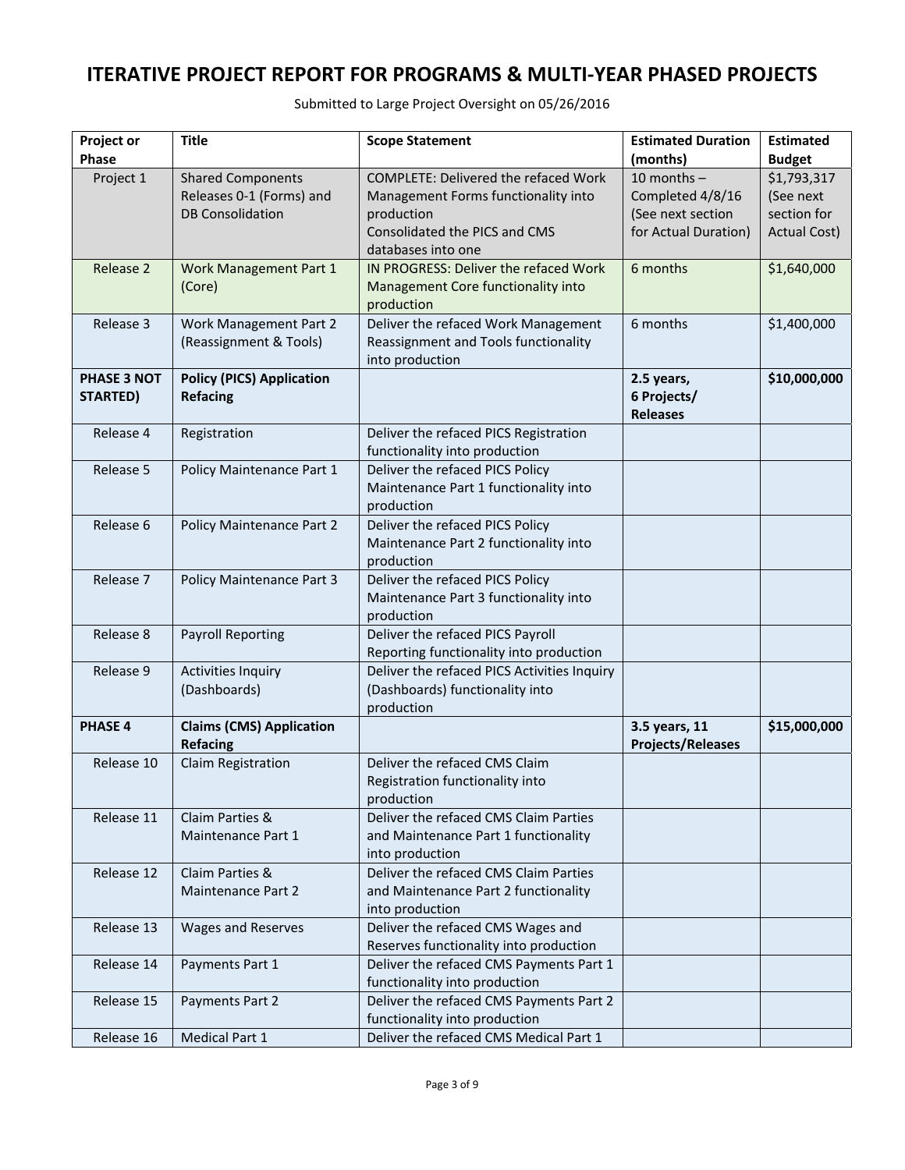| <b>Project or</b>  | <b>Title</b>                     | <b>Scope Statement</b>                      | <b>Estimated Duration</b> | <b>Estimated</b>    |
|--------------------|----------------------------------|---------------------------------------------|---------------------------|---------------------|
| <b>Phase</b>       |                                  |                                             | (months)                  | <b>Budget</b>       |
| Project 1          | <b>Shared Components</b>         | <b>COMPLETE: Delivered the refaced Work</b> | 10 months $-$             | \$1,793,317         |
|                    | Releases 0-1 (Forms) and         | Management Forms functionality into         | Completed 4/8/16          | (See next           |
|                    | <b>DB Consolidation</b>          | production                                  | (See next section         | section for         |
|                    |                                  | Consolidated the PICS and CMS               | for Actual Duration)      | <b>Actual Cost)</b> |
|                    |                                  | databases into one                          |                           |                     |
| Release 2          | Work Management Part 1           | IN PROGRESS: Deliver the refaced Work       | 6 months                  | \$1,640,000         |
|                    | (Core)                           | Management Core functionality into          |                           |                     |
|                    |                                  | production                                  |                           |                     |
|                    |                                  |                                             | 6 months                  |                     |
| Release 3          | Work Management Part 2           | Deliver the refaced Work Management         |                           | \$1,400,000         |
|                    | (Reassignment & Tools)           | Reassignment and Tools functionality        |                           |                     |
|                    |                                  | into production                             |                           |                     |
| <b>PHASE 3 NOT</b> | <b>Policy (PICS) Application</b> |                                             | 2.5 years,                | \$10,000,000        |
| <b>STARTED)</b>    | <b>Refacing</b>                  |                                             | 6 Projects/               |                     |
|                    |                                  |                                             | <b>Releases</b>           |                     |
| Release 4          | Registration                     | Deliver the refaced PICS Registration       |                           |                     |
|                    |                                  | functionality into production               |                           |                     |
| Release 5          | Policy Maintenance Part 1        | Deliver the refaced PICS Policy             |                           |                     |
|                    |                                  | Maintenance Part 1 functionality into       |                           |                     |
|                    |                                  | production                                  |                           |                     |
| Release 6          | Policy Maintenance Part 2        | Deliver the refaced PICS Policy             |                           |                     |
|                    |                                  | Maintenance Part 2 functionality into       |                           |                     |
|                    |                                  | production                                  |                           |                     |
| Release 7          | <b>Policy Maintenance Part 3</b> | Deliver the refaced PICS Policy             |                           |                     |
|                    |                                  | Maintenance Part 3 functionality into       |                           |                     |
|                    |                                  | production                                  |                           |                     |
| Release 8          | <b>Payroll Reporting</b>         | Deliver the refaced PICS Payroll            |                           |                     |
|                    |                                  | Reporting functionality into production     |                           |                     |
| Release 9          | <b>Activities Inquiry</b>        | Deliver the refaced PICS Activities Inquiry |                           |                     |
|                    | (Dashboards)                     | (Dashboards) functionality into             |                           |                     |
|                    |                                  | production                                  |                           |                     |
| <b>PHASE 4</b>     | <b>Claims (CMS) Application</b>  |                                             | 3.5 years, 11             | \$15,000,000        |
|                    | <b>Refacing</b>                  |                                             | <b>Projects/Releases</b>  |                     |
| Release 10         | Claim Registration               | Deliver the refaced CMS Claim               |                           |                     |
|                    |                                  | Registration functionality into             |                           |                     |
|                    |                                  | production                                  |                           |                     |
| Release 11         | Claim Parties &                  | Deliver the refaced CMS Claim Parties       |                           |                     |
|                    | Maintenance Part 1               | and Maintenance Part 1 functionality        |                           |                     |
|                    |                                  | into production                             |                           |                     |
| Release 12         | Claim Parties &                  | Deliver the refaced CMS Claim Parties       |                           |                     |
|                    | Maintenance Part 2               | and Maintenance Part 2 functionality        |                           |                     |
|                    |                                  | into production                             |                           |                     |
| Release 13         | Wages and Reserves               | Deliver the refaced CMS Wages and           |                           |                     |
|                    |                                  | Reserves functionality into production      |                           |                     |
| Release 14         | Payments Part 1                  | Deliver the refaced CMS Payments Part 1     |                           |                     |
|                    |                                  | functionality into production               |                           |                     |
| Release 15         | Payments Part 2                  | Deliver the refaced CMS Payments Part 2     |                           |                     |
|                    |                                  | functionality into production               |                           |                     |
| Release 16         | <b>Medical Part 1</b>            | Deliver the refaced CMS Medical Part 1      |                           |                     |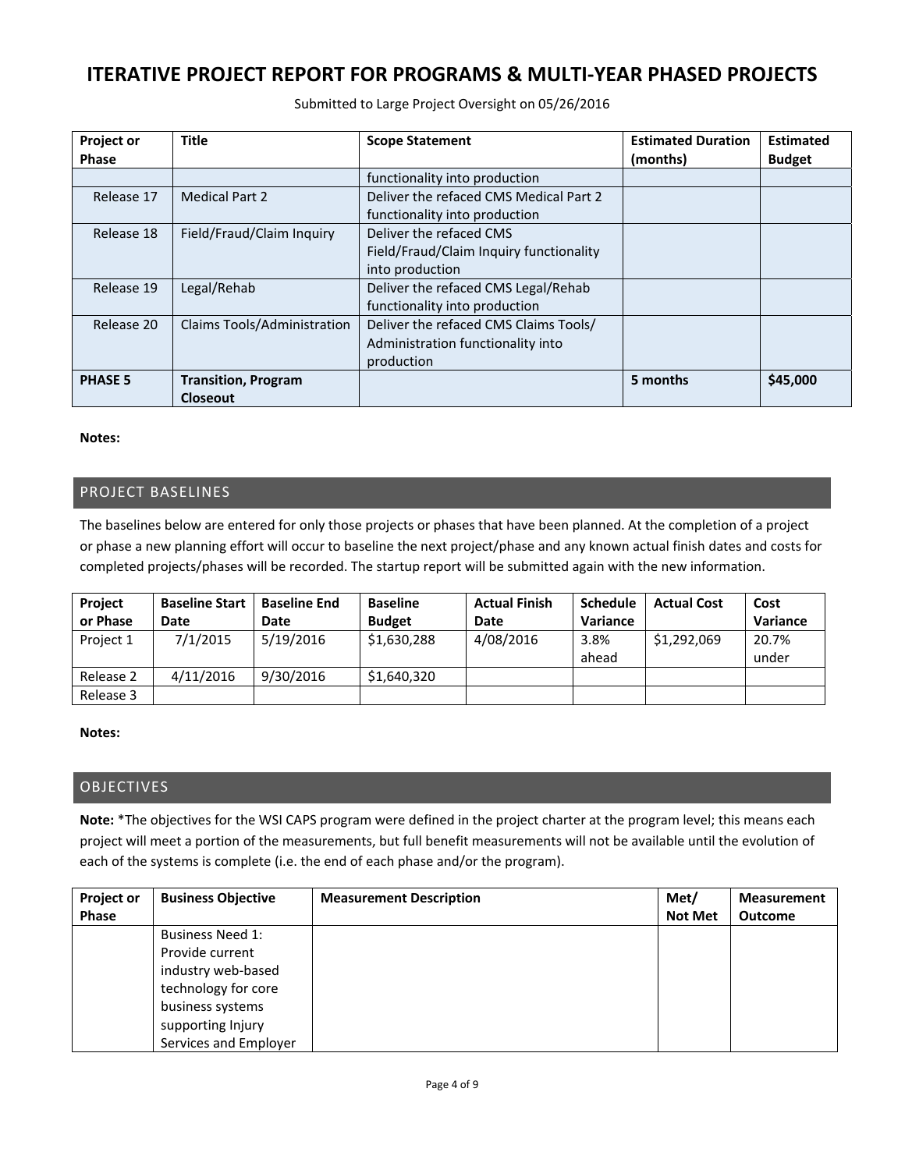Submitted to Large Project Oversight on 05/26/2016

| <b>Project or</b><br><b>Phase</b> | <b>Title</b>                                  | <b>Scope Statement</b>                                                                   | <b>Estimated Duration</b><br>(months) | <b>Estimated</b><br><b>Budget</b> |
|-----------------------------------|-----------------------------------------------|------------------------------------------------------------------------------------------|---------------------------------------|-----------------------------------|
|                                   |                                               | functionality into production                                                            |                                       |                                   |
| Release 17                        | <b>Medical Part 2</b>                         | Deliver the refaced CMS Medical Part 2<br>functionality into production                  |                                       |                                   |
| Release 18                        | Field/Fraud/Claim Inquiry                     | Deliver the refaced CMS<br>Field/Fraud/Claim Inquiry functionality<br>into production    |                                       |                                   |
| Release 19                        | Legal/Rehab                                   | Deliver the refaced CMS Legal/Rehab<br>functionality into production                     |                                       |                                   |
| Release 20                        | Claims Tools/Administration                   | Deliver the refaced CMS Claims Tools/<br>Administration functionality into<br>production |                                       |                                   |
| <b>PHASE 5</b>                    | <b>Transition, Program</b><br><b>Closeout</b> |                                                                                          | 5 months                              | \$45,000                          |

#### **Notes:**

## PROJECT BASELINES

The baselines below are entered for only those projects or phases that have been planned. At the completion of a project or phase a new planning effort will occur to baseline the next project/phase and any known actual finish dates and costs for completed projects/phases will be recorded. The startup report will be submitted again with the new information.

| Project   | <b>Baseline Start</b> | <b>Baseline End</b> | <b>Baseline</b> | <b>Actual Finish</b> | <b>Schedule</b> | <b>Actual Cost</b> | Cost           |
|-----------|-----------------------|---------------------|-----------------|----------------------|-----------------|--------------------|----------------|
| or Phase  | Date                  | Date                | <b>Budget</b>   | Date                 | <b>Variance</b> |                    | Variance       |
| Project 1 | 7/1/2015              | 5/19/2016           | \$1,630,288     | 4/08/2016            | 3.8%<br>ahead   | \$1,292,069        | 20.7%<br>under |
| Release 2 | 4/11/2016             | 9/30/2016           | \$1,640,320     |                      |                 |                    |                |
| Release 3 |                       |                     |                 |                      |                 |                    |                |

#### **Notes:**

## OBJECTIVES

**Note:** \*The objectives for the WSI CAPS program were defined in the project charter at the program level; this means each project will meet a portion of the measurements, but full benefit measurements will not be available until the evolution of each of the systems is complete (i.e. the end of each phase and/or the program).

| <b>Project or</b> | <b>Business Objective</b> | <b>Measurement Description</b> | Met/           | <b>Measurement</b> |
|-------------------|---------------------------|--------------------------------|----------------|--------------------|
| <b>Phase</b>      |                           |                                | <b>Not Met</b> | <b>Outcome</b>     |
|                   | <b>Business Need 1:</b>   |                                |                |                    |
|                   | Provide current           |                                |                |                    |
|                   | industry web-based        |                                |                |                    |
|                   | technology for core       |                                |                |                    |
|                   | business systems          |                                |                |                    |
|                   | supporting Injury         |                                |                |                    |
|                   | Services and Employer     |                                |                |                    |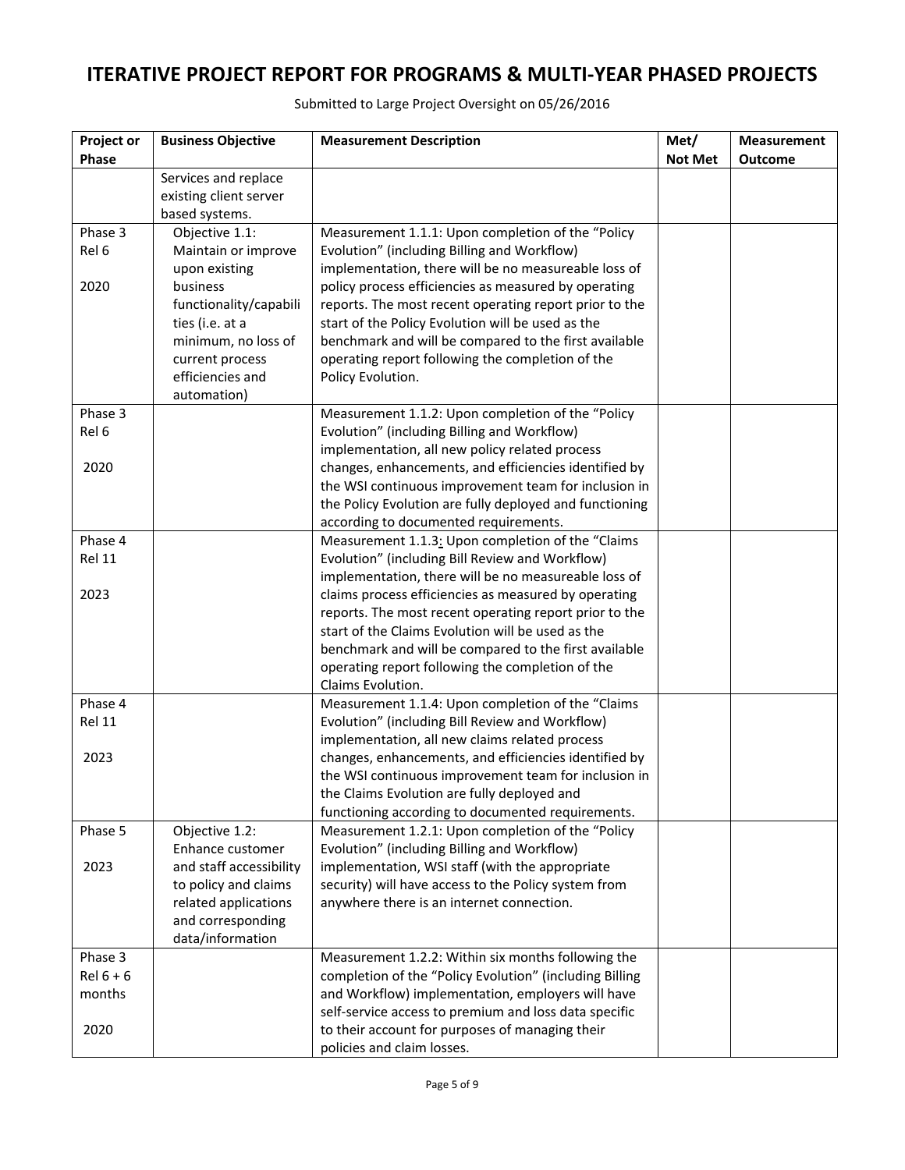| Met/<br>Project or<br><b>Business Objective</b><br><b>Measurement Description</b>                                    | <b>Measurement</b> |
|----------------------------------------------------------------------------------------------------------------------|--------------------|
| <b>Phase</b><br><b>Not Met</b>                                                                                       | <b>Outcome</b>     |
| Services and replace<br>existing client server                                                                       |                    |
| based systems.                                                                                                       |                    |
| Objective 1.1:<br>Phase 3<br>Measurement 1.1.1: Upon completion of the "Policy                                       |                    |
| Rel 6<br>Maintain or improve<br>Evolution" (including Billing and Workflow)                                          |                    |
| implementation, there will be no measureable loss of<br>upon existing                                                |                    |
| 2020<br>business<br>policy process efficiencies as measured by operating                                             |                    |
| functionality/capabili<br>reports. The most recent operating report prior to the                                     |                    |
| ties (i.e. at a<br>start of the Policy Evolution will be used as the                                                 |                    |
| benchmark and will be compared to the first available<br>minimum, no loss of                                         |                    |
| operating report following the completion of the<br>current process                                                  |                    |
| efficiencies and<br>Policy Evolution.                                                                                |                    |
| automation)                                                                                                          |                    |
| Phase 3<br>Measurement 1.1.2: Upon completion of the "Policy                                                         |                    |
| Rel 6<br>Evolution" (including Billing and Workflow)                                                                 |                    |
| implementation, all new policy related process                                                                       |                    |
| 2020<br>changes, enhancements, and efficiencies identified by                                                        |                    |
| the WSI continuous improvement team for inclusion in                                                                 |                    |
| the Policy Evolution are fully deployed and functioning                                                              |                    |
| according to documented requirements.                                                                                |                    |
| Phase 4<br>Measurement 1.1.3: Upon completion of the "Claims                                                         |                    |
| Rel 11<br>Evolution" (including Bill Review and Workflow)                                                            |                    |
| implementation, there will be no measureable loss of                                                                 |                    |
| 2023<br>claims process efficiencies as measured by operating                                                         |                    |
| reports. The most recent operating report prior to the<br>start of the Claims Evolution will be used as the          |                    |
| benchmark and will be compared to the first available                                                                |                    |
| operating report following the completion of the                                                                     |                    |
| Claims Evolution.                                                                                                    |                    |
| Phase 4<br>Measurement 1.1.4: Upon completion of the "Claims                                                         |                    |
| Rel 11<br>Evolution" (including Bill Review and Workflow)                                                            |                    |
| implementation, all new claims related process                                                                       |                    |
| changes, enhancements, and efficiencies identified by<br>2023                                                        |                    |
| the WSI continuous improvement team for inclusion in                                                                 |                    |
| the Claims Evolution are fully deployed and                                                                          |                    |
| functioning according to documented requirements.                                                                    |                    |
| Phase 5<br>Measurement 1.2.1: Upon completion of the "Policy<br>Objective 1.2:                                       |                    |
| Enhance customer<br>Evolution" (including Billing and Workflow)                                                      |                    |
| 2023<br>and staff accessibility<br>implementation, WSI staff (with the appropriate                                   |                    |
| to policy and claims<br>security) will have access to the Policy system from                                         |                    |
| related applications<br>anywhere there is an internet connection.                                                    |                    |
| and corresponding                                                                                                    |                    |
| data/information                                                                                                     |                    |
| Phase 3<br>Measurement 1.2.2: Within six months following the                                                        |                    |
| $Rel 6 + 6$<br>completion of the "Policy Evolution" (including Billing                                               |                    |
| and Workflow) implementation, employers will have<br>months<br>self-service access to premium and loss data specific |                    |
| to their account for purposes of managing their<br>2020                                                              |                    |
| policies and claim losses.                                                                                           |                    |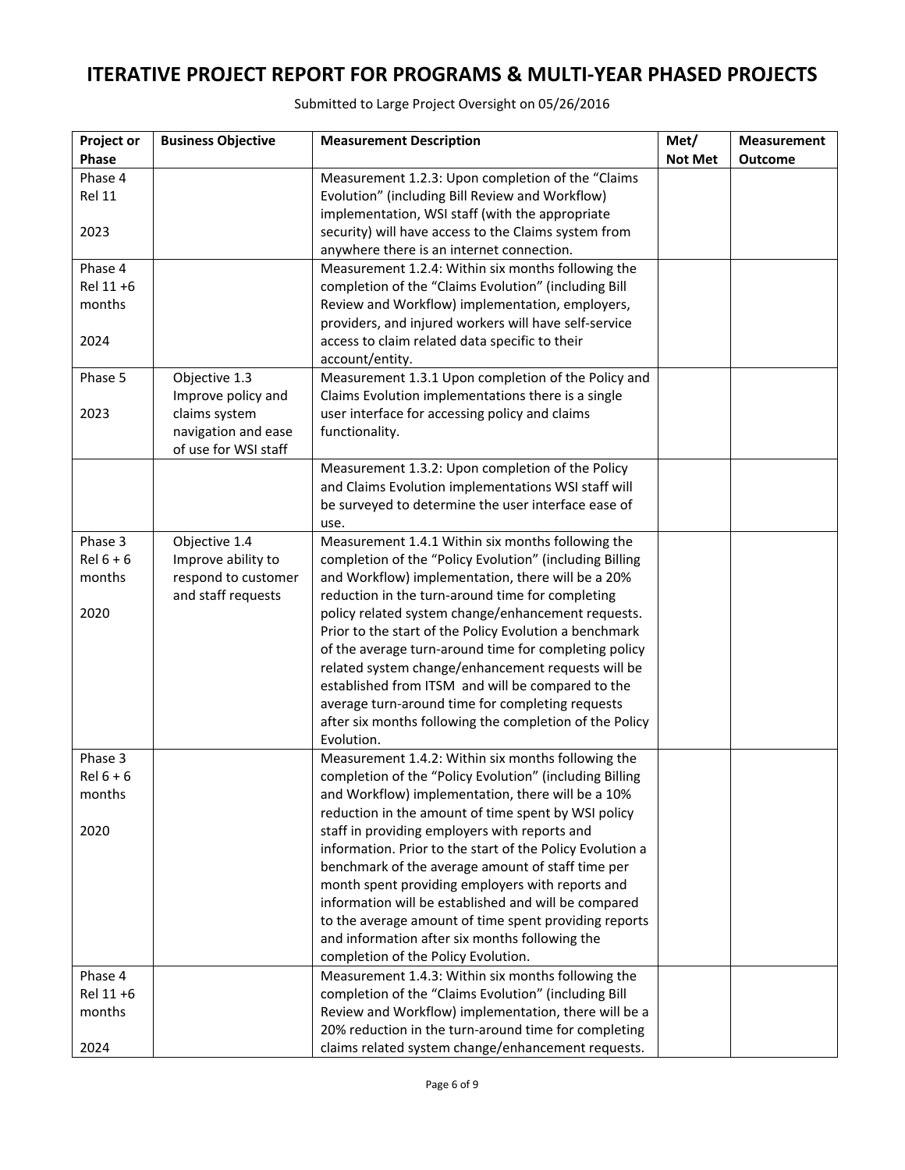| Project or  | <b>Business Objective</b>                   | <b>Measurement Description</b>                                                            | Met/           | <b>Measurement</b> |
|-------------|---------------------------------------------|-------------------------------------------------------------------------------------------|----------------|--------------------|
| Phase       |                                             |                                                                                           | <b>Not Met</b> | <b>Outcome</b>     |
| Phase 4     |                                             | Measurement 1.2.3: Upon completion of the "Claims                                         |                |                    |
| Rel 11      |                                             | Evolution" (including Bill Review and Workflow)                                           |                |                    |
|             |                                             | implementation, WSI staff (with the appropriate                                           |                |                    |
| 2023        |                                             | security) will have access to the Claims system from                                      |                |                    |
|             |                                             | anywhere there is an internet connection.                                                 |                |                    |
| Phase 4     |                                             | Measurement 1.2.4: Within six months following the                                        |                |                    |
| Rel 11 +6   |                                             | completion of the "Claims Evolution" (including Bill                                      |                |                    |
| months      |                                             | Review and Workflow) implementation, employers,                                           |                |                    |
|             |                                             | providers, and injured workers will have self-service                                     |                |                    |
| 2024        |                                             | access to claim related data specific to their                                            |                |                    |
|             |                                             | account/entity.                                                                           |                |                    |
| Phase 5     | Objective 1.3                               | Measurement 1.3.1 Upon completion of the Policy and                                       |                |                    |
|             | Improve policy and                          | Claims Evolution implementations there is a single                                        |                |                    |
| 2023        | claims system                               | user interface for accessing policy and claims                                            |                |                    |
|             | navigation and ease<br>of use for WSI staff | functionality.                                                                            |                |                    |
|             |                                             | Measurement 1.3.2: Upon completion of the Policy                                          |                |                    |
|             |                                             | and Claims Evolution implementations WSI staff will                                       |                |                    |
|             |                                             | be surveyed to determine the user interface ease of                                       |                |                    |
|             |                                             | use.                                                                                      |                |                    |
| Phase 3     | Objective 1.4                               | Measurement 1.4.1 Within six months following the                                         |                |                    |
| $Rel 6 + 6$ | Improve ability to                          | completion of the "Policy Evolution" (including Billing                                   |                |                    |
| months      | respond to customer                         | and Workflow) implementation, there will be a 20%                                         |                |                    |
|             | and staff requests                          | reduction in the turn-around time for completing                                          |                |                    |
| 2020        |                                             | policy related system change/enhancement requests.                                        |                |                    |
|             |                                             | Prior to the start of the Policy Evolution a benchmark                                    |                |                    |
|             |                                             | of the average turn-around time for completing policy                                     |                |                    |
|             |                                             | related system change/enhancement requests will be                                        |                |                    |
|             |                                             | established from ITSM and will be compared to the                                         |                |                    |
|             |                                             | average turn-around time for completing requests                                          |                |                    |
|             |                                             | after six months following the completion of the Policy                                   |                |                    |
|             |                                             | Evolution.                                                                                |                |                    |
| Phase 3     |                                             | Measurement 1.4.2: Within six months following the                                        |                |                    |
| $Rel 6 + 6$ |                                             | completion of the "Policy Evolution" (including Billing                                   |                |                    |
| months      |                                             | and Workflow) implementation, there will be a 10%                                         |                |                    |
|             |                                             | reduction in the amount of time spent by WSI policy                                       |                |                    |
| 2020        |                                             | staff in providing employers with reports and                                             |                |                    |
|             |                                             | information. Prior to the start of the Policy Evolution a                                 |                |                    |
|             |                                             | benchmark of the average amount of staff time per                                         |                |                    |
|             |                                             | month spent providing employers with reports and                                          |                |                    |
|             |                                             | information will be established and will be compared                                      |                |                    |
|             |                                             | to the average amount of time spent providing reports                                     |                |                    |
|             |                                             | and information after six months following the                                            |                |                    |
| Phase 4     |                                             | completion of the Policy Evolution.<br>Measurement 1.4.3: Within six months following the |                |                    |
| Rel 11 +6   |                                             | completion of the "Claims Evolution" (including Bill                                      |                |                    |
| months      |                                             | Review and Workflow) implementation, there will be a                                      |                |                    |
|             |                                             | 20% reduction in the turn-around time for completing                                      |                |                    |
| 2024        |                                             | claims related system change/enhancement requests.                                        |                |                    |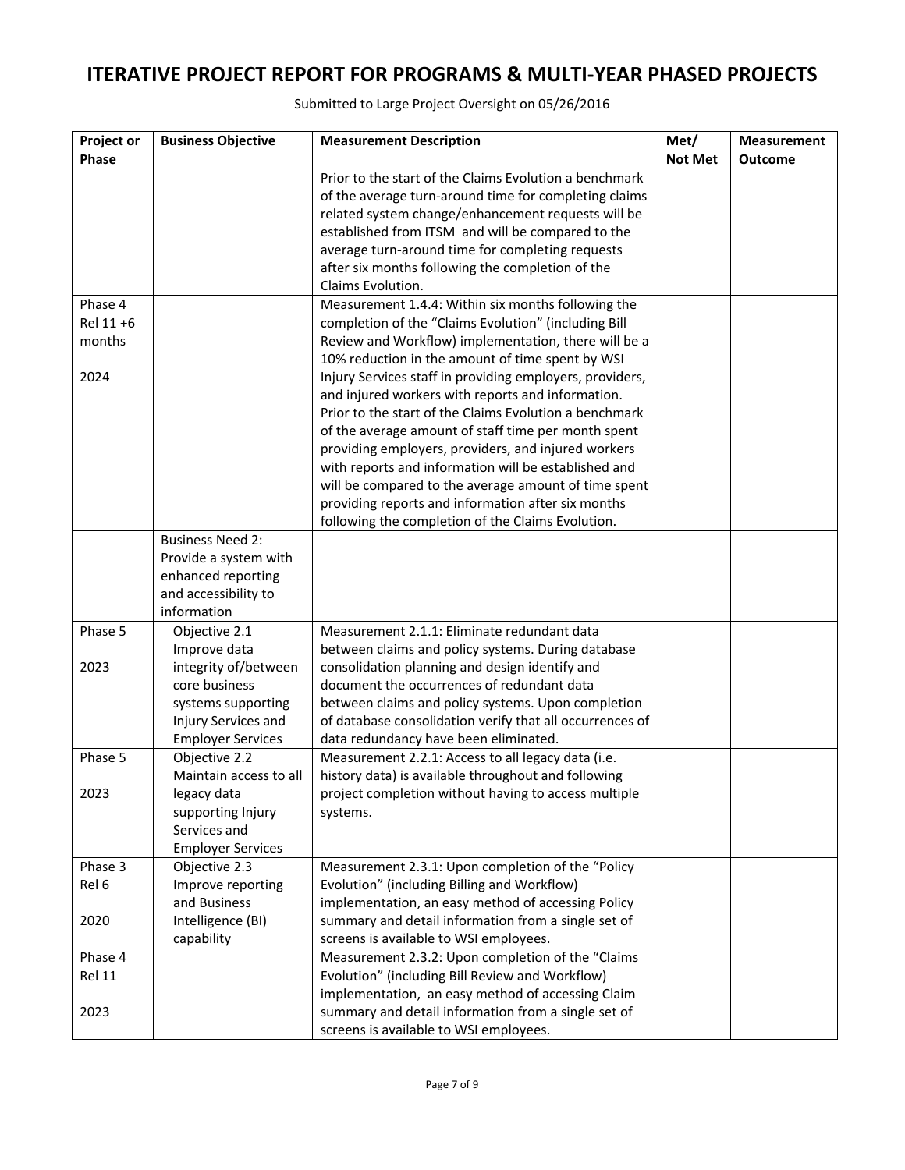| Project or | <b>Business Objective</b>         | <b>Measurement Description</b>                                                                              | Met/           | <b>Measurement</b> |
|------------|-----------------------------------|-------------------------------------------------------------------------------------------------------------|----------------|--------------------|
| Phase      |                                   |                                                                                                             | <b>Not Met</b> | Outcome            |
|            |                                   | Prior to the start of the Claims Evolution a benchmark                                                      |                |                    |
|            |                                   | of the average turn-around time for completing claims                                                       |                |                    |
|            |                                   | related system change/enhancement requests will be                                                          |                |                    |
|            |                                   | established from ITSM and will be compared to the                                                           |                |                    |
|            |                                   | average turn-around time for completing requests                                                            |                |                    |
|            |                                   | after six months following the completion of the                                                            |                |                    |
|            |                                   | Claims Evolution.                                                                                           |                |                    |
| Phase 4    |                                   | Measurement 1.4.4: Within six months following the                                                          |                |                    |
| Rel 11 +6  |                                   | completion of the "Claims Evolution" (including Bill                                                        |                |                    |
| months     |                                   | Review and Workflow) implementation, there will be a                                                        |                |                    |
|            |                                   | 10% reduction in the amount of time spent by WSI                                                            |                |                    |
| 2024       |                                   | Injury Services staff in providing employers, providers,                                                    |                |                    |
|            |                                   | and injured workers with reports and information.                                                           |                |                    |
|            |                                   | Prior to the start of the Claims Evolution a benchmark                                                      |                |                    |
|            |                                   | of the average amount of staff time per month spent                                                         |                |                    |
|            |                                   | providing employers, providers, and injured workers<br>with reports and information will be established and |                |                    |
|            |                                   | will be compared to the average amount of time spent                                                        |                |                    |
|            |                                   | providing reports and information after six months                                                          |                |                    |
|            |                                   | following the completion of the Claims Evolution.                                                           |                |                    |
|            | <b>Business Need 2:</b>           |                                                                                                             |                |                    |
|            | Provide a system with             |                                                                                                             |                |                    |
|            | enhanced reporting                |                                                                                                             |                |                    |
|            | and accessibility to              |                                                                                                             |                |                    |
|            | information                       |                                                                                                             |                |                    |
| Phase 5    | Objective 2.1                     | Measurement 2.1.1: Eliminate redundant data                                                                 |                |                    |
|            | Improve data                      | between claims and policy systems. During database                                                          |                |                    |
| 2023       | integrity of/between              | consolidation planning and design identify and                                                              |                |                    |
|            | core business                     | document the occurrences of redundant data                                                                  |                |                    |
|            | systems supporting                | between claims and policy systems. Upon completion                                                          |                |                    |
|            | Injury Services and               | of database consolidation verify that all occurrences of                                                    |                |                    |
|            | <b>Employer Services</b>          | data redundancy have been eliminated.                                                                       |                |                    |
| Phase 5    | Objective 2.2                     | Measurement 2.2.1: Access to all legacy data (i.e.                                                          |                |                    |
|            | Maintain access to all            | history data) is available throughout and following                                                         |                |                    |
| 2023       | legacy data                       | project completion without having to access multiple                                                        |                |                    |
|            | supporting Injury                 | systems.                                                                                                    |                |                    |
|            | Services and                      |                                                                                                             |                |                    |
|            | <b>Employer Services</b>          |                                                                                                             |                |                    |
| Phase 3    | Objective 2.3                     | Measurement 2.3.1: Upon completion of the "Policy<br>Evolution" (including Billing and Workflow)            |                |                    |
| Rel 6      | Improve reporting<br>and Business |                                                                                                             |                |                    |
| 2020       | Intelligence (BI)                 | implementation, an easy method of accessing Policy<br>summary and detail information from a single set of   |                |                    |
|            | capability                        | screens is available to WSI employees.                                                                      |                |                    |
| Phase 4    |                                   | Measurement 2.3.2: Upon completion of the "Claims                                                           |                |                    |
| Rel 11     |                                   | Evolution" (including Bill Review and Workflow)                                                             |                |                    |
|            |                                   | implementation, an easy method of accessing Claim                                                           |                |                    |
| 2023       |                                   | summary and detail information from a single set of                                                         |                |                    |
|            |                                   | screens is available to WSI employees.                                                                      |                |                    |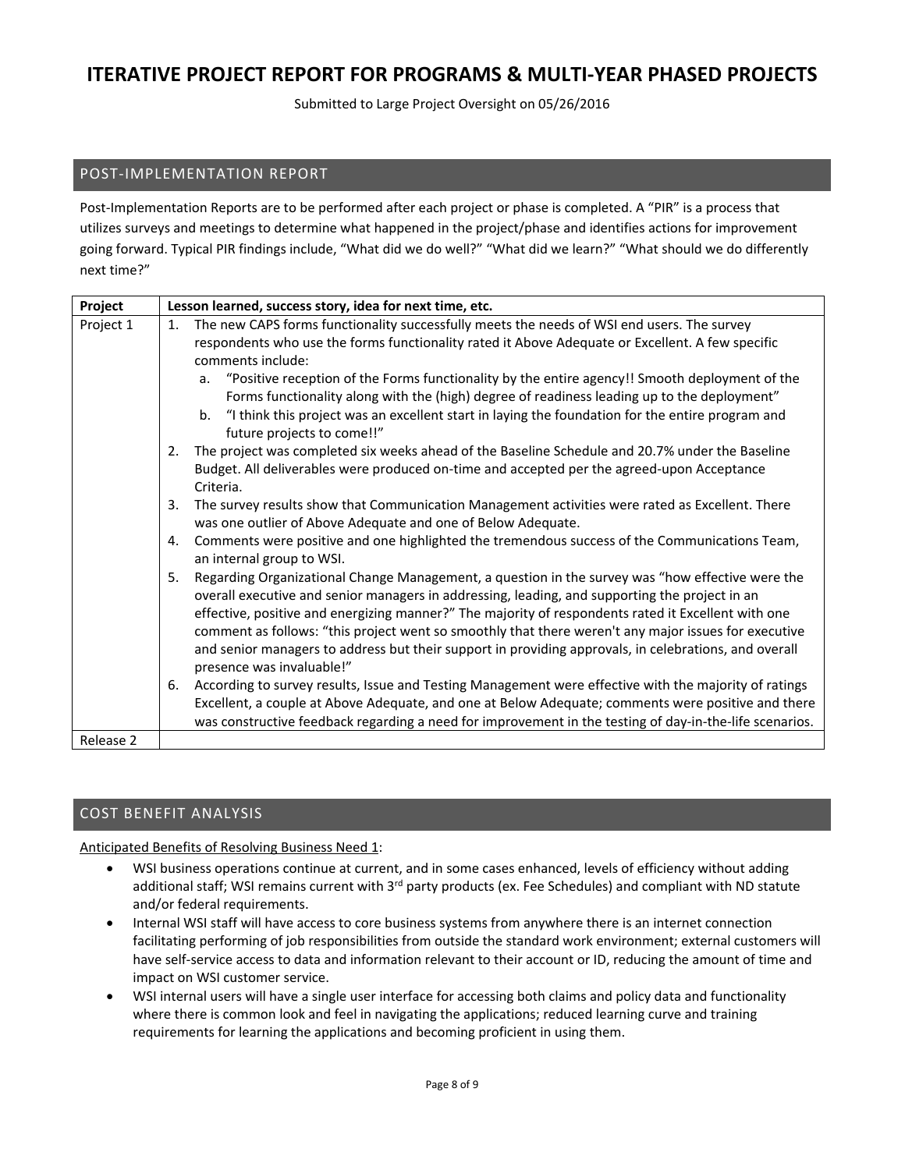Submitted to Large Project Oversight on 05/26/2016

# POST‐IMPLEMENTATION REPORT

Post‐Implementation Reports are to be performed after each project or phase is completed. A "PIR" is a process that utilizes surveys and meetings to determine what happened in the project/phase and identifies actions for improvement going forward. Typical PIR findings include, "What did we do well?" "What did we learn?" "What should we do differently next time?"

| Project   | Lesson learned, success story, idea for next time, etc.                                                                                                                                                                                                                                                                                                                                                                                                                                                                                                       |
|-----------|---------------------------------------------------------------------------------------------------------------------------------------------------------------------------------------------------------------------------------------------------------------------------------------------------------------------------------------------------------------------------------------------------------------------------------------------------------------------------------------------------------------------------------------------------------------|
| Project 1 | The new CAPS forms functionality successfully meets the needs of WSI end users. The survey<br>1.<br>respondents who use the forms functionality rated it Above Adequate or Excellent. A few specific<br>comments include:                                                                                                                                                                                                                                                                                                                                     |
|           | a. "Positive reception of the Forms functionality by the entire agency!! Smooth deployment of the<br>Forms functionality along with the (high) degree of readiness leading up to the deployment"<br>b. "I think this project was an excellent start in laying the foundation for the entire program and<br>future projects to come!!"                                                                                                                                                                                                                         |
|           | The project was completed six weeks ahead of the Baseline Schedule and 20.7% under the Baseline<br>2.<br>Budget. All deliverables were produced on-time and accepted per the agreed-upon Acceptance<br>Criteria.                                                                                                                                                                                                                                                                                                                                              |
|           | The survey results show that Communication Management activities were rated as Excellent. There<br>3.<br>was one outlier of Above Adequate and one of Below Adequate.                                                                                                                                                                                                                                                                                                                                                                                         |
|           | Comments were positive and one highlighted the tremendous success of the Communications Team,<br>4.<br>an internal group to WSI.                                                                                                                                                                                                                                                                                                                                                                                                                              |
|           | Regarding Organizational Change Management, a question in the survey was "how effective were the<br>5.<br>overall executive and senior managers in addressing, leading, and supporting the project in an<br>effective, positive and energizing manner?" The majority of respondents rated it Excellent with one<br>comment as follows: "this project went so smoothly that there weren't any major issues for executive<br>and senior managers to address but their support in providing approvals, in celebrations, and overall<br>presence was invaluable!" |
|           | According to survey results, Issue and Testing Management were effective with the majority of ratings<br>6.<br>Excellent, a couple at Above Adequate, and one at Below Adequate; comments were positive and there<br>was constructive feedback regarding a need for improvement in the testing of day-in-the-life scenarios.                                                                                                                                                                                                                                  |
| Release 2 |                                                                                                                                                                                                                                                                                                                                                                                                                                                                                                                                                               |

## COST BENEFIT ANALYSIS

Anticipated Benefits of Resolving Business Need 1:

- WSI business operations continue at current, and in some cases enhanced, levels of efficiency without adding additional staff; WSI remains current with 3<sup>rd</sup> party products (ex. Fee Schedules) and compliant with ND statute and/or federal requirements.
- Internal WSI staff will have access to core business systems from anywhere there is an internet connection facilitating performing of job responsibilities from outside the standard work environment; external customers will have self-service access to data and information relevant to their account or ID, reducing the amount of time and impact on WSI customer service.
- WSI internal users will have a single user interface for accessing both claims and policy data and functionality where there is common look and feel in navigating the applications; reduced learning curve and training requirements for learning the applications and becoming proficient in using them.